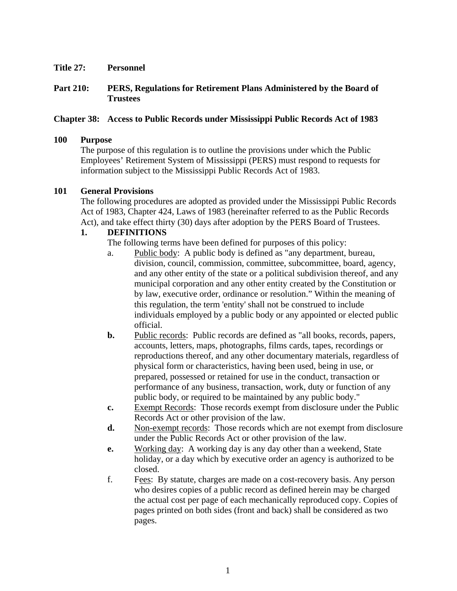**Title 27: Personnel** 

## **Part 210: PERS, Regulations for Retirement Plans Administered by the Board of Trustees**

## **Chapter 38: Access to Public Records under Mississippi Public Records Act of 1983**

#### **100 Purpose**

The purpose of this regulation is to outline the provisions under which the Public Employees' Retirement System of Mississippi (PERS) must respond to requests for information subject to the Mississippi Public Records Act of 1983.

#### **101 General Provisions**

The following procedures are adopted as provided under the Mississippi Public Records Act of 1983, Chapter 424, Laws of 1983 (hereinafter referred to as the Public Records Act), and take effect thirty (30) days after adoption by the PERS Board of Trustees.

#### **1. DEFINITIONS**

The following terms have been defined for purposes of this policy:

- a. Public body: A public body is defined as "any department, bureau, division, council, commission, committee, subcommittee, board, agency, and any other entity of the state or a political subdivision thereof, and any municipal corporation and any other entity created by the Constitution or by law, executive order, ordinance or resolution." Within the meaning of this regulation, the term 'entity' shall not be construed to include individuals employed by a public body or any appointed or elected public official.
- **b.** Public records: Public records are defined as "all books, records, papers, accounts, letters, maps, photographs, films cards, tapes, recordings or reproductions thereof, and any other documentary materials, regardless of physical form or characteristics, having been used, being in use, or prepared, possessed or retained for use in the conduct, transaction or performance of any business, transaction, work, duty or function of any public body, or required to be maintained by any public body."
- **c.** Exempt Records: Those records exempt from disclosure under the Public Records Act or other provision of the law.
- **d.** Non-exempt records: Those records which are not exempt from disclosure under the Public Records Act or other provision of the law.
- **e.** Working day: A working day is any day other than a weekend, State holiday, or a day which by executive order an agency is authorized to be closed.
- f. Fees: By statute, charges are made on a cost-recovery basis. Any person who desires copies of a public record as defined herein may be charged the actual cost per page of each mechanically reproduced copy. Copies of pages printed on both sides (front and back) shall be considered as two pages.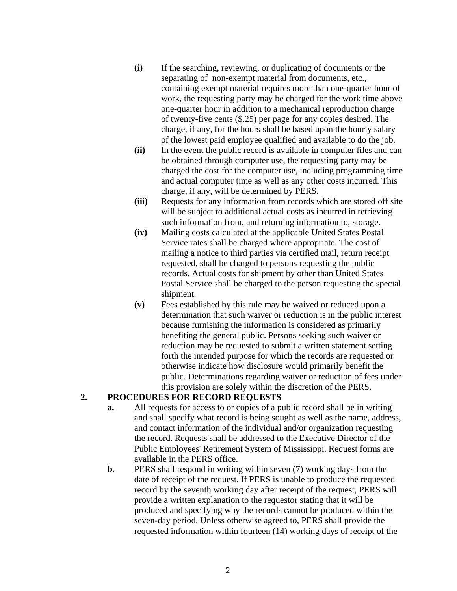- **(i)** If the searching, reviewing, or duplicating of documents or the separating of non-exempt material from documents, etc., containing exempt material requires more than one-quarter hour of work, the requesting party may be charged for the work time above one-quarter hour in addition to a mechanical reproduction charge of twenty-five cents (\$.25) per page for any copies desired. The charge, if any, for the hours shall be based upon the hourly salary of the lowest paid employee qualified and available to do the job.
- **(ii)** In the event the public record is available in computer files and can be obtained through computer use, the requesting party may be charged the cost for the computer use, including programming time and actual computer time as well as any other costs incurred. This charge, if any, will be determined by PERS.
- **(iii)** Requests for any information from records which are stored off site will be subject to additional actual costs as incurred in retrieving such information from, and returning information to, storage.
- **(iv)** Mailing costs calculated at the applicable United States Postal Service rates shall be charged where appropriate. The cost of mailing a notice to third parties via certified mail, return receipt requested, shall be charged to persons requesting the public records. Actual costs for shipment by other than United States Postal Service shall be charged to the person requesting the special shipment.
- **(v)** Fees established by this rule may be waived or reduced upon a determination that such waiver or reduction is in the public interest because furnishing the information is considered as primarily benefiting the general public. Persons seeking such waiver or reduction may be requested to submit a written statement setting forth the intended purpose for which the records are requested or otherwise indicate how disclosure would primarily benefit the public. Determinations regarding waiver or reduction of fees under this provision are solely within the discretion of the PERS.

## **2. PROCEDURES FOR RECORD REQUESTS**

- **a.** All requests for access to or copies of a public record shall be in writing and shall specify what record is being sought as well as the name, address, and contact information of the individual and/or organization requesting the record. Requests shall be addressed to the Executive Director of the Public Employees' Retirement System of Mississippi. Request forms are available in the PERS office.
- **b.** PERS shall respond in writing within seven (7) working days from the date of receipt of the request. If PERS is unable to produce the requested record by the seventh working day after receipt of the request, PERS will provide a written explanation to the requestor stating that it will be produced and specifying why the records cannot be produced within the seven-day period. Unless otherwise agreed to, PERS shall provide the requested information within fourteen (14) working days of receipt of the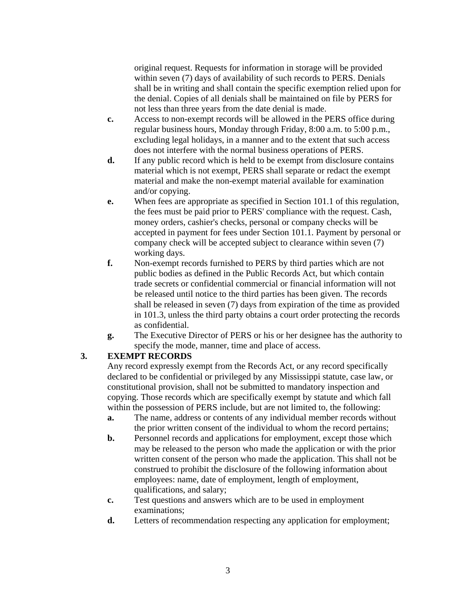original request. Requests for information in storage will be provided within seven (7) days of availability of such records to PERS. Denials shall be in writing and shall contain the specific exemption relied upon for the denial. Copies of all denials shall be maintained on file by PERS for not less than three years from the date denial is made.

- **c.** Access to non-exempt records will be allowed in the PERS office during regular business hours, Monday through Friday, 8:00 a.m. to 5:00 p.m., excluding legal holidays, in a manner and to the extent that such access does not interfere with the normal business operations of PERS.
- **d.** If any public record which is held to be exempt from disclosure contains material which is not exempt, PERS shall separate or redact the exempt material and make the non-exempt material available for examination and/or copying.
- **e.** When fees are appropriate as specified in Section 101.1 of this regulation, the fees must be paid prior to PERS' compliance with the request. Cash, money orders, cashier's checks, personal or company checks will be accepted in payment for fees under Section 101.1. Payment by personal or company check will be accepted subject to clearance within seven (7) working days.
- **f.** Non-exempt records furnished to PERS by third parties which are not public bodies as defined in the Public Records Act, but which contain trade secrets or confidential commercial or financial information will not be released until notice to the third parties has been given. The records shall be released in seven (7) days from expiration of the time as provided in 101.3, unless the third party obtains a court order protecting the records as confidential.
- **g.** The Executive Director of PERS or his or her designee has the authority to specify the mode, manner, time and place of access.

# **3. EXEMPT RECORDS**

Any record expressly exempt from the Records Act, or any record specifically declared to be confidential or privileged by any Mississippi statute, case law, or constitutional provision, shall not be submitted to mandatory inspection and copying. Those records which are specifically exempt by statute and which fall within the possession of PERS include, but are not limited to, the following:

- **a.** The name, address or contents of any individual member records without the prior written consent of the individual to whom the record pertains;
- **b.** Personnel records and applications for employment, except those which may be released to the person who made the application or with the prior written consent of the person who made the application. This shall not be construed to prohibit the disclosure of the following information about employees: name, date of employment, length of employment, qualifications, and salary;
- **c.** Test questions and answers which are to be used in employment examinations;
- **d.** Letters of recommendation respecting any application for employment;